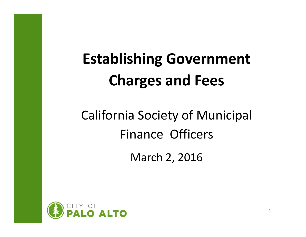# **Establishing Government Charges and Fees**

# California Society of Municipal Finance Officers

March 2, 2016

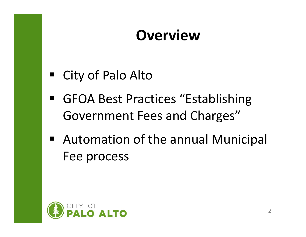#### **Overview**

- City of Palo Alto
- GFOA Best Practices "Establishing Government Fees and Charges"
- Automation of the annual Municipal Fee process

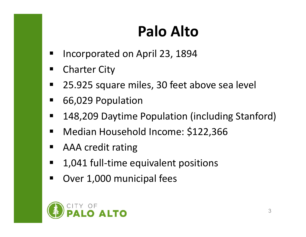# **Palo Alto**

- П Incorporated on April 23, 1894
- $\blacksquare$ Charter City
- $\blacksquare$ 25.925 square miles, 30 feet above sea level
- $\blacksquare$ 66,029 Population
- $\blacksquare$ 148,209 Daytime Population (including Stanford)
- $\blacksquare$ Median Household Income: \$122,366
- $\blacksquare$ AAA credit rating
- $\blacksquare$ 1,041 full‐time equivalent positions
- $\blacksquare$ Over 1,000 municipal fees

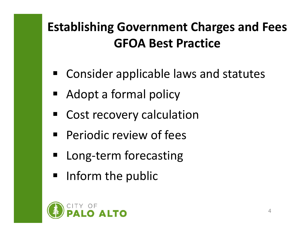#### **Establishing Government Charges and Fees GFOA Best Practice**

- **E** Consider applicable laws and statutes
- Adopt a formal policy
- **E** Cost recovery calculation
- **Periodic review of fees**
- Long-term forecasting
- **Ifform the public**

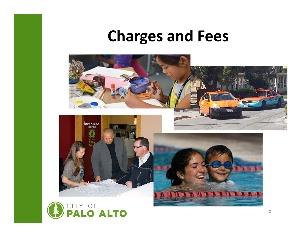#### **Charges and Fees**



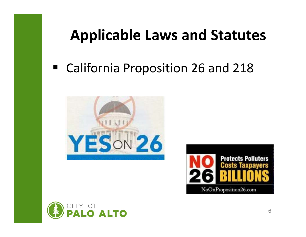### **Applicable Laws and Statutes**

#### California Proposition 26 and 218





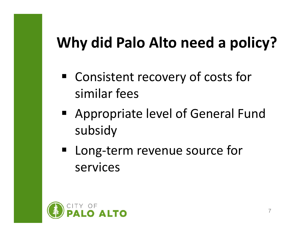# **Why did Palo Alto need a policy?**

- Consistent recovery of costs for similar fees
- Appropriate level of General Fund subsidy
- Long-term revenue source for services

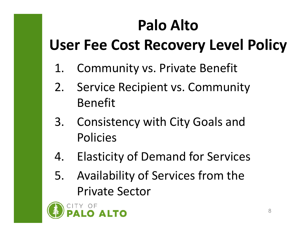# **Palo Alto**

# **User Fee Cost Recovery Level Policy**

- 1. Community vs. Private Benefit
- 2. Service Recipient vs. Community Benefit
- 3. Consistency with City Goals and Policies
- 4. Elasticity of Demand for Services
- 5. Availability of Services from the Private Sector

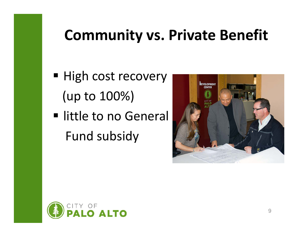#### **Community vs. Private Benefit**

- High cost recovery (up to 100%)
- **Induction in the Interval Interval** Fund subsidy



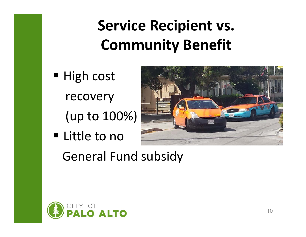# **Service Recipient vs. Community Benefit**

- High cost recovery
	- (up to 100%)
- Little to no



General Fund subsidy

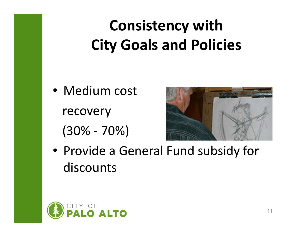# **Consistency with City Goals and Policies**

• Medium cost recovery (30% ‐ 70%)



• Provide a General Fund subsidy for discounts

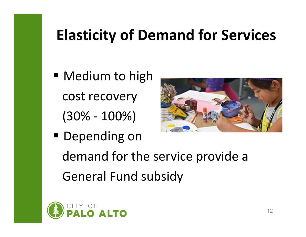# **Elasticity of Demand for Services**

- **Medium to high** cost recovery (30% ‐ 100%)
- **Depending on** demand for the service provide a General Fund subsidy



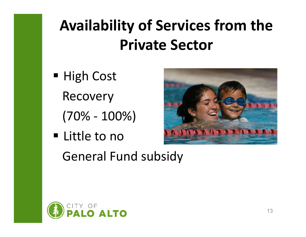# **Availability of Services from the Private Sector**

- High Cost Recovery
	- (70% ‐ 100%)
- Little to no General Fund subsidy



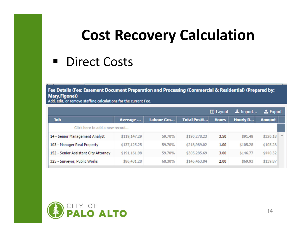#### **Cost Recovery Calculation**

#### **Direct Costs**

Fee Details (Fee: Easement Document Preparation and Processing (Commercial & Residential) (Prepared by: Mary.Figone))

Add, edit, or remove staffing calculations for the current Fee.

|                                      |              |            |                     | $\mathbf{\mathbf{\square}}$ Layout | La Import       | <b>上</b> Export |  |
|--------------------------------------|--------------|------------|---------------------|------------------------------------|-----------------|-----------------|--|
| <b>Job</b>                           | Average      | Labour Gro | <b>Total Positi</b> | <b>Hours</b>                       | <b>Hourly R</b> | <b>Amount</b>   |  |
| Click here to add a new record       |              |            |                     |                                    |                 |                 |  |
| 14 - Senior Management Analyst       | \$119,147.29 | 59.70%     | \$190,278.23        | 3.50                               | \$91.48         | \$320.18        |  |
| 103 - Manager Real Property          | \$137,125.25 | 59.70%     | \$218,989.02        | 1.00                               | \$105.28        | \$105.28        |  |
| 152 - Senior Assistant City Attorney | \$191,161.98 | 59.70%     | \$305,285.69        | 3.00                               | \$146.77        | \$440.32        |  |
| 325 - Surveyor, Public Works         | \$86,431.28  | 68.30%     | \$145,463.84        | 2.00                               | \$69.93         | \$139.87        |  |

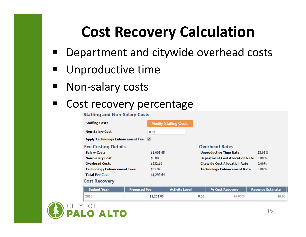# **Cost Recovery Calculation**

- Department and citywide overhead costs
- $\blacksquare$ Unproductive time
- $\blacksquare$ Non‐salary costs

#### $\blacksquare$ Cost recovery percentage

#### **Staffing and Non-Salary Costs Staffing Costs Modify Staffing Costs Non-Salary Cost**  $0.00$ Apply Technology Enhancement Fee √ **Fee Costing Details Overhead Rates Salary Costs** \$1,005.65 **Unproductive Time Rate** 23.08% **Non-Salary Cost**  $$0.00$ **Department Cost Allocation Rate 0.00% Overhead Costs** \$232.10 **Citywide Cost Allocation Rate**  $0.00%$ **Technology Enhancement Fees** \$61.89 **Technology Enhancement Rate**  $5.00%$ **Total Fee Cost** \$1,299.64 **Cost Recovery**

| <b>Budget Year</b> | <b>Proposed Fee</b> | <b>Activity Level</b> | % Cost Recovery | <b>Revenue Estimate</b> |
|--------------------|---------------------|-----------------------|-----------------|-------------------------|
| 2016               | \$1,261.00          | 0.00                  | 97.03%          | \$0.00                  |

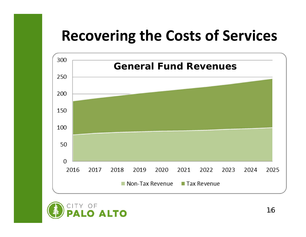### **Recovering the Costs of Services**



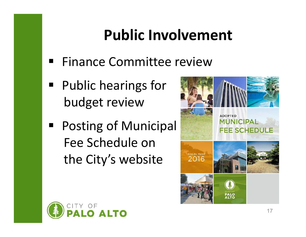## **Public Involvement**

- Finance Committee review
- Public hearings for budget review
- Posting of Municipal Fee Schedule on the City's website